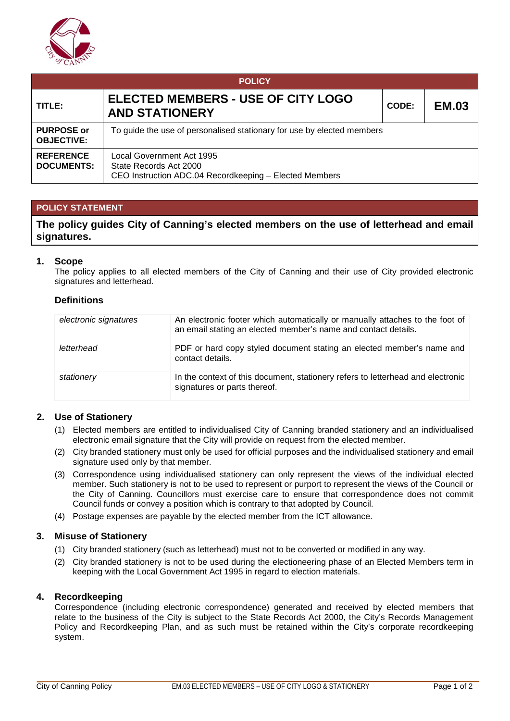

| <b>POLICY</b>                          |                                                                                                               |                       |  |  |  |  |  |  |
|----------------------------------------|---------------------------------------------------------------------------------------------------------------|-----------------------|--|--|--|--|--|--|
| TITLE:                                 | ELECTED MEMBERS - USE OF CITY LOGO<br><b>AND STATIONERY</b>                                                   | <b>EM.03</b><br>CODE: |  |  |  |  |  |  |
| <b>PURPOSE or</b><br><b>OBJECTIVE:</b> | To guide the use of personalised stationary for use by elected members                                        |                       |  |  |  |  |  |  |
| <b>REFERENCE</b><br><b>DOCUMENTS:</b>  | Local Government Act 1995<br>State Records Act 2000<br>CEO Instruction ADC.04 Recordkeeping - Elected Members |                       |  |  |  |  |  |  |

# **POLICY STATEMENT**

**The policy guides City of Canning's elected members on the use of letterhead and email signatures.**

### **1. Scope**

The policy applies to all elected members of the City of Canning and their use of City provided electronic signatures and letterhead.

#### **Definitions**

| electronic signatures | An electronic footer which automatically or manually attaches to the foot of<br>an email stating an elected member's name and contact details. |
|-----------------------|------------------------------------------------------------------------------------------------------------------------------------------------|
| letterhead            | PDF or hard copy styled document stating an elected member's name and<br>contact details.                                                      |
| stationery            | In the context of this document, stationery refers to letterhead and electronic<br>signatures or parts thereof.                                |

# **2. Use of Stationery**

- (1) Elected members are entitled to individualised City of Canning branded stationery and an individualised electronic email signature that the City will provide on request from the elected member.
- (2) City branded stationery must only be used for official purposes and the individualised stationery and email signature used only by that member.
- (3) Correspondence using individualised stationery can only represent the views of the individual elected member. Such stationery is not to be used to represent or purport to represent the views of the Council or the City of Canning. Councillors must exercise care to ensure that correspondence does not commit Council funds or convey a position which is contrary to that adopted by Council.
- (4) Postage expenses are payable by the elected member from the ICT allowance.

#### **3. Misuse of Stationery**

- (1) City branded stationery (such as letterhead) must not to be converted or modified in any way.
- (2) City branded stationery is not to be used during the electioneering phase of an Elected Members term in keeping with the Local Government Act 1995 in regard to election materials.

### **4. Recordkeeping**

Correspondence (including electronic correspondence) generated and received by elected members that relate to the business of the City is subject to the State Records Act 2000, the City's Records Management Policy and Recordkeeping Plan, and as such must be retained within the City's corporate recordkeeping system.